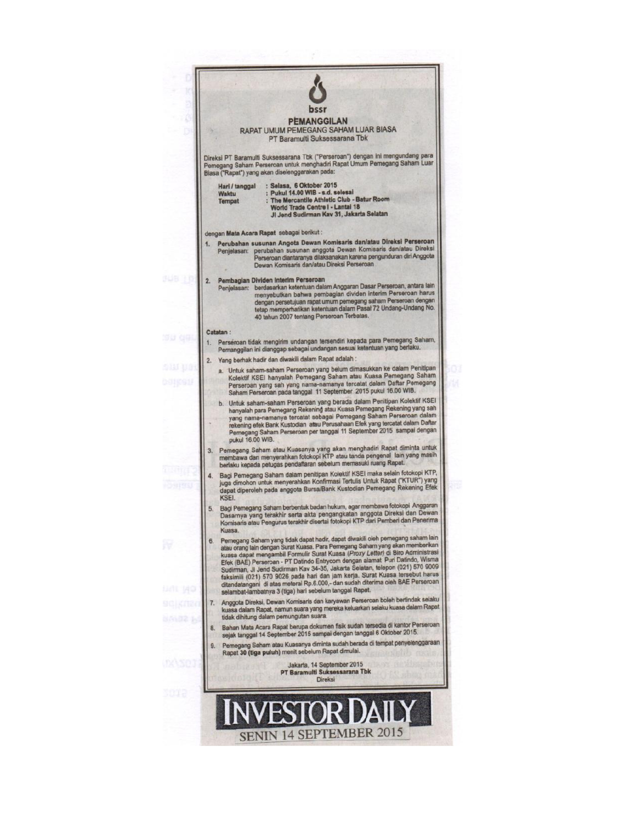|    | bssr                                                                                                                                                                                                                                                                                                                                                                                                                                                                                                                                                                                                                                                      |
|----|-----------------------------------------------------------------------------------------------------------------------------------------------------------------------------------------------------------------------------------------------------------------------------------------------------------------------------------------------------------------------------------------------------------------------------------------------------------------------------------------------------------------------------------------------------------------------------------------------------------------------------------------------------------|
|    | <b>PEMANGGILAN</b><br>RAPAT UMUM PEMEGANG SAHAM LUAR BIASA<br>PT Baramulti Suksessarana Tbk                                                                                                                                                                                                                                                                                                                                                                                                                                                                                                                                                               |
|    | Direksi PT Baramulti Suksessarana Tbk ("Perseroan") dengan ini mengundang para<br>Pemegang Saham Perseroan untuk menghadiri Rapat Umum Pemegang Saham Luar<br>Biasa ("Rapat") yang akan diselenggarakan pada:                                                                                                                                                                                                                                                                                                                                                                                                                                             |
|    | : Selasa, 6 Oktober 2015<br>Hari / tanggal<br>: Pukul 14.00 WIB - s.d. selesai<br>Waktu<br>: The Mercantile Athletic Club - Batur Room<br>Tempat<br>World Trade Centre I - Lantai 18<br>JI Jend Sudirman Kav 31, Jakarta Selatan                                                                                                                                                                                                                                                                                                                                                                                                                          |
|    | dengan Mata Acara Rapat sebagai berikut:                                                                                                                                                                                                                                                                                                                                                                                                                                                                                                                                                                                                                  |
| 1. | Perubahan susunan Angota Dewan Komisaris dan/atau Direksi Perseroan<br>perubahan susunan anggota Dewan Komisaris dan/atau Direksi<br>Penjelasan:<br>Perseroan diantaranya dilaksanakan karena pengunduran diri Anggota<br>Dewan Komisaris darvatau Direksi Perseroan                                                                                                                                                                                                                                                                                                                                                                                      |
| 2. | Pembagian Dividen Interim Perseroan<br>Penjelasan: berdasarkan ketentuan dalam Anggaran Dasar Perseroan, antara lain<br>menyebutkan bahwa pembagian dividen interim Perseroan harus<br>dengan persetujuan rapat umum pemegang saham Perseroan dengan<br>tetap memperhatikan ketentuan dalam Pasal 72 Undang-Undang No.<br>40 tahun 2007 tentang Perseroan Terbatas.                                                                                                                                                                                                                                                                                       |
| 1. | Catatan:<br>Perseroan tidak mengirim undangan tersendiri kepada para Pemegang Saham,                                                                                                                                                                                                                                                                                                                                                                                                                                                                                                                                                                      |
| 2. | Pemanggilan ini dianggap sebagai undangan sesuai ketentuan yang berlaku.<br>Yang berhak hadir dan diwakili dalam Rapat adalah :                                                                                                                                                                                                                                                                                                                                                                                                                                                                                                                           |
|    | a. Untuk saham-saham Perseroan yang belum dimasukkan ke dalam Penitipan<br>Kolektif KSEI hanyalah Pemegang Saham atau Kuasa Pemegang Saham<br>Perseroan yang sah yang nama-namanya tercatat dalam Daftar Pemegang<br>Saham Perseroan pada tanggal 11 September 2015 pukul 16.00 WIB.                                                                                                                                                                                                                                                                                                                                                                      |
|    | b. Untuk saham-saham Perseroan yang berada dalam Penitipan Kolektif KSEI<br>hanyalah para Pemegang Rekening atau Kuasa Pemegang Rekening yang sah<br>yang nama-namanya tercatat sebagai Pemegang Saham Perseroan dalam<br>rekening efek Bank Kustodian atau Perusahaan Efek yang tercatat dalam Daftar<br>Pernegang Saham Perseroan per tanggal 11 September 2015 sampai dengan<br>pukul 16.00 WIB.                                                                                                                                                                                                                                                       |
| 3. | Pemegang Saham atau Kuasanya yang akan menghadiri Rapat diminta untuk<br>membawa dan menyerahkan fotokopi KTP atau tanda pengenal lain yang masih<br>berlaku kepada petugas pendaftaran sebelum memasuki ruang Rapat.                                                                                                                                                                                                                                                                                                                                                                                                                                     |
| 4. | Bagi Pemegang Saham dalam penitipan Kolektif KSEI maka selain fotokopi KTP,<br>juga dimohon untuk menyerahkan Konfirmasi Tertulis Untuk Rapat ("KTUR") yang<br>dapat diperoleh pada anggota Bursa/Bank Kustodian Pemegang Rekening Efek<br>KSEI.                                                                                                                                                                                                                                                                                                                                                                                                          |
| 5. | Bagi Pemegang Saham berbentuk badan hukum, agar membawa fotokopi Anggaran<br>Dasarnya yang terakhir serta akta pengangkatan anggota Direksi dan Dewan<br>Komisaris atau Pengurus terakhir disertai fotokopi KTP dari Pemberi dan Penerima                                                                                                                                                                                                                                                                                                                                                                                                                 |
| 6. | Kuasa.<br>Pemegang Saham yang tidak dapat hadir, dapat diwakili oleh pemegang saham lain<br>atau orang lain dengan Surat Kuasa. Para Pemegang Saham yang akan memberikan<br>kuasa dapat mengambil Formulir Surat Kuasa (Proxy Letter) di Biro Administrasi<br>Efek (BAE) Perseroan - PT Datindo Entrycom dengan alamat Puri Datindo, Wisma<br>Sudirman, Jl Jend Sudirman Kav 34-35, Jakarta Selatan, telepon (021) 570 9009<br>faksimili (021) 570 9026 pada hari dan jam kerja. Surat Kuasa tersebut harus<br>ditandatangani di atas meterai Rp.6.000,- dan sudah diterima oleh BAE Perseroan<br>selambat-lambatnya 3 (tiga) hari sebelum tanggal Rapat. |
| 7. | Anggota Direksi, Dewan Komisaris dan karyawan Perseroan boleh bertindak selaku<br>kuasa dalam Rapat, namun suara yang mereka keluarkan selaku kuasa dalam Rapat<br>tidak dihitung dalam pemungutan suara.                                                                                                                                                                                                                                                                                                                                                                                                                                                 |
| 8. | Bahan Mata Acara Rapat berupa dokumen fisik sudah tersedia di kantor Perseroan<br>sejak tanggal 14 September 2015 sampai dengan tanggal 6 Oktober 2015.                                                                                                                                                                                                                                                                                                                                                                                                                                                                                                   |
|    | 9. Pemegang Saham atau Kuasanya diminta sudah berada di tempat penyelenggaraan<br>Rapat 30 (tiga puluh) menit sebelum Rapat dimulai.                                                                                                                                                                                                                                                                                                                                                                                                                                                                                                                      |
|    | Jakarta, 14 September 2015<br>PT Baramulti Suksessarana Tbk                                                                                                                                                                                                                                                                                                                                                                                                                                                                                                                                                                                               |